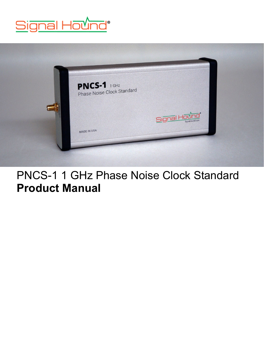



## PNCS-1 1 GHz Phase Noise Clock Standard **Product Manual**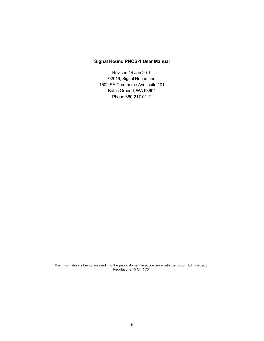#### **Signal Hound PNCS-1 User Manual**

Revised 14 Jan 2019 2019, Signal Hound, Inc. 1502 SE Commerce Ave, suite 101 Battle Ground, WA 98604 Phone 360-217-0112

This information is being released into the public domain in accordance with the Export Administration Regulations 15 CFR 734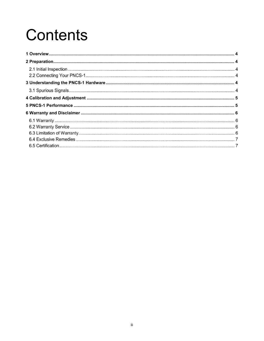# Contents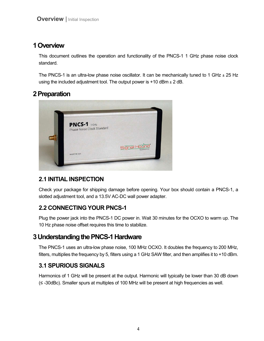## <span id="page-3-0"></span>**1Overview**

This document outlines the operation and functionality of the PNCS-1 1 GHz phase noise clock standard.

The PNCS-1 is an ultra-low phase noise oscillator. It can be mechanically tuned to 1 GHz  $\pm$  25 Hz using the included adjustment tool. The output power is  $+10$  dBm  $\pm 2$  dB.

## <span id="page-3-1"></span>**2Preparation**



## **2.1 INITIAL INSPECTION**

Check your package for shipping damage before opening. Your box should contain a PNCS-1, a slotted adjustment tool, and a 13.5V AC-DC wall power adapter.

## **2.2 CONNECTING YOUR PNCS-1**

Plug the power jack into the PNCS-1 DC power in. Wait 30 minutes for the OCXO to warm up. The 10 Hz phase noise offset requires this time to stabilize.

## <span id="page-3-2"></span>**3Understanding the PNCS-1Hardware**

The PNCS-1 uses an ultra-low phase noise, 100 MHz OCXO. It doubles the frequency to 200 MHz, filters, multiplies the frequency by 5, filters using a 1 GHz SAW filter, and then amplifies it to +10 dBm.

## **3.1 SPURIOUS SIGNALS**

Harmonics of 1 GHz will be present at the output. Harmonic will typically be lower than 30 dB down (≤ -30dBc). Smaller spurs at multiples of 100 MHz will be present at high frequencies as well.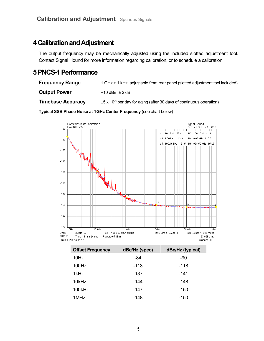## <span id="page-4-0"></span>**4Calibration and Adjustment**

The output frequency may be mechanically adjusted using the included slotted adjustment tool. Contact Signal Hound for more information regarding calibration, or to schedule a calibration.

## <span id="page-4-1"></span>**5PNCS-1 Performance**

**Frequency Range** 1 GHz ± 1 kHz, adjustable from rear panel (slotted adjustment tool included)

**Output Power**  $+10$  dBm  $\pm 2$  dB

**Timebase Accuracy**  $\pm 5 \times 10^{-9}$  per day for aging (after 30 days of continuous operation)

**Typical SSB Phase Noise at 1 GHz Center Frequency** (see chart below)



| <b>Offset Frequency</b> | dBc/Hz (spec) | dBc/Hz (typical) |
|-------------------------|---------------|------------------|
| 10Hz                    | -84           | -90              |
| 100Hz                   | $-113$        | -118             |
| 1kHz                    | $-137$        | $-141$           |
| 10kHz                   | -144          | $-148$           |
| 100kHz                  | -147          | -150             |
| 1 MHz                   | -148          | -150             |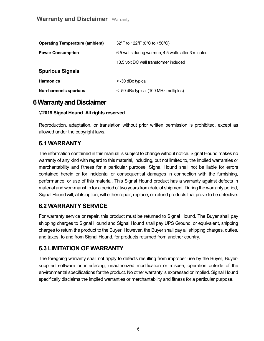| <b>Operating Temperature (ambient)</b> | 32°F to 122°F (0°C to +50°C)                       |  |
|----------------------------------------|----------------------------------------------------|--|
| <b>Power Consumption</b>               | 6.5 watts during warmup, 4.5 watts after 3 minutes |  |
|                                        | 13.5 volt DC wall transformer included             |  |
| <b>Spurious Signals</b>                |                                                    |  |
| <b>Harmonics</b>                       | < -30 dBc typical                                  |  |
| <b>Non-harmonic spurious</b>           | < -50 dBc typical (100 MHz multiples)              |  |

## <span id="page-5-0"></span>**6Warranty and Disclaimer**

#### **©2019 Signal Hound. All rights reserved.**

Reproduction, adaptation, or translation without prior written permission is prohibited, except as allowed under the copyright laws.

#### **6.1 WARRANTY**

The information contained in this manual is subject to change without notice. Signal Hound makes no warranty of any kind with regard to this material, including, but not limited to, the implied warranties or merchantability and fitness for a particular purpose. Signal Hound shall not be liable for errors contained herein or for incidental or consequential damages in connection with the furnishing, performance, or use of this material. This Signal Hound product has a warranty against defects in material and workmanship for a period of two years from date of shipment. During the warranty period, Signal Hound will, at its option, will either repair, replace, or refund products that prove to be defective.

#### **6.2 WARRANTY SERVICE**

For warranty service or repair, this product must be returned to Signal Hound. The Buyer shall pay shipping charges to Signal Hound and Signal Hound shall pay UPS Ground, or equivalent, shipping charges to return the product to the Buyer. However, the Buyer shall pay all shipping charges, duties, and taxes, to and from Signal Hound, for products returned from another country.

#### **6.3 LIMITATION OF WARRANTY**

The foregoing warranty shall not apply to defects resulting from improper use by the Buyer, Buyersupplied software or interfacing, unauthorized modification or misuse, operation outside of the environmental specifications for the product. No other warranty is expressed or implied. Signal Hound specifically disclaims the implied warranties or merchantability and fitness for a particular purpose.